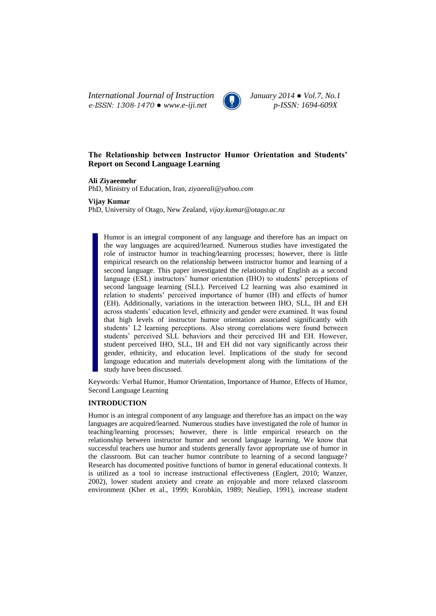*International Journal of Instruction January 2014 ● Vol.7, No.1 e-ISSN: 1308-1470 ● www.e-iji.net p-ISSN: 1694-609X*



# **The Relationship between Instructor Humor Orientation and Students' Report on Second Language Learning**

**Ali Ziyaeemehr**

PhD, Ministry of Education, Iran, *ziyaeeali@yahoo.com*

**Vijay Kumar**

PhD, University of Otago, New Zealand, *vijay.kumar@otago.ac.nz*

Humor is an integral component of any language and therefore has an impact on the way languages are acquired/learned. Numerous studies have investigated the role of instructor humor in teaching/learning processes; however, there is little empirical research on the relationship between instructor humor and learning of a second language. This paper investigated the relationship of English as a second language (ESL) instructors' humor orientation (IHO) to students' perceptions of second language learning (SLL). Perceived L2 learning was also examined in relation to students' perceived importance of humor (IH) and effects of humor (EH). Additionally, variations in the interaction between IHO, SLL, IH and EH across students' education level, ethnicity and gender were examined. It was found that high levels of instructor humor orientation associated significantly with students' L2 learning perceptions. Also strong correlations were found between students' perceived SLL behaviors and their perceived IH and EH. However, student perceived IHO, SLL, IH and EH did not vary significantly across their gender, ethnicity, and education level. Implications of the study for second language education and materials development along with the limitations of the study have been discussed.

Keywords: Verbal Humor, Humor Orientation, Importance of Humor, Effects of Humor, Second Language Learning

## **INTRODUCTION**

Humor is an integral component of any language and therefore has an impact on the way languages are acquired/learned. Numerous studies have investigated the role of humor in teaching/learning processes; however, there is little empirical research on the relationship between instructor humor and second language learning. We know that successful teachers use humor and students generally favor appropriate use of humor in the classroom. But can teacher humor contribute to learning of a second language? Research has documented positive functions of humor in general educational contexts. It is utilized as a tool to increase instructional effectiveness (Englert, 2010; Wanzer, 2002), lower student anxiety and create an enjoyable and more relaxed classroom environment (Kher et al., 1999; Korobkin, 1989; Neuliep, 1991), increase student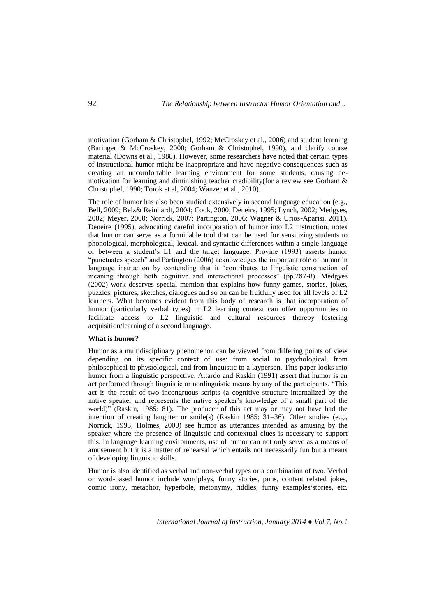motivation (Gorham & Christophel, 1992; McCroskey et al., 2006) and student learning (Baringer & McCroskey, 2000; Gorham & Christophel, 1990), and clarify course material (Downs et al., 1988). However, some researchers have noted that certain types of instructional humor might be inappropriate and have negative consequences such as creating an uncomfortable learning environment for some students, causing demotivation for learning and diminishing teacher credibility(for a review see Gorham & Christophel, 1990; Torok et al, 2004; Wanzer et al., 2010).

The role of humor has also been studied extensively in second language education (e.g., Bell, 2009; Belz& Reinhardt, 2004; Cook, 2000; Deneire, 1995; Lynch, 2002; Medgyes, 2002; Meyer, 2000; Norrick, 2007; Partington, 2006; Wagner & Urios-Aparisi, 2011). Deneire (1995), advocating careful incorporation of humor into L2 instruction, notes that humor can serve as a formidable tool that can be used for sensitizing students to phonological, morphological, lexical, and syntactic differences within a single language or between a student's L1 and the target language. Provine (1993) asserts humor "punctuates speech" and Partington (2006) acknowledges the important role of humor in language instruction by contending that it "contributes to linguistic construction of meaning through both cognitive and interactional processes" (pp.287-8). Medgyes (2002) work deserves special mention that explains how funny games, stories, jokes, puzzles, pictures, sketches, dialogues and so on can be fruitfully used for all levels of L2 learners. What becomes evident from this body of research is that incorporation of humor (particularly verbal types) in L2 learning context can offer opportunities to facilitate access to L2 linguistic and cultural resources thereby fostering acquisition/learning of a second language.

### **What is humor?**

Humor as a multidisciplinary phenomenon can be viewed from differing points of view depending on its specific context of use: from social to psychological, from philosophical to physiological, and from linguistic to a layperson. This paper looks into humor from a linguistic perspective. Attardo and Raskin (1991) assert that humor is an act performed through linguistic or nonlinguistic means by any of the participants. "This act is the result of two incongruous scripts (a cognitive structure internalized by the native speaker and represents the native speaker's knowledge of a small part of the world)" (Raskin, 1985: 81). The producer of this act may or may not have had the intention of creating laughter or smile(s) (Raskin 1985:  $31-36$ ). Other studies (e.g., Norrick, 1993; Holmes, 2000) see humor as utterances intended as amusing by the speaker where the presence of linguistic and contextual clues is necessary to support this. In language learning environments, use of humor can not only serve as a means of amusement but it is a matter of rehearsal which entails not necessarily fun but a means of developing linguistic skills.

Humor is also identified as verbal and non-verbal types or a combination of two. Verbal or word-based humor include wordplays, funny stories, puns, content related jokes, comic irony, metaphor, hyperbole, metonymy, riddles, funny examples/stories, etc.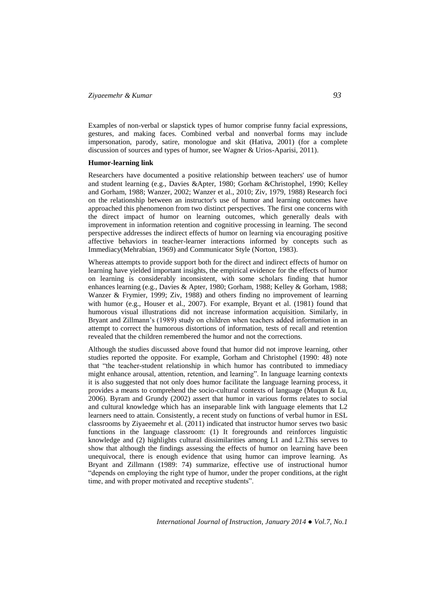## *Ziyaeemehr & Kumar 93*

Examples of non-verbal or slapstick types of humor comprise funny facial expressions, gestures, and making faces. Combined verbal and nonverbal forms may include impersonation, parody, satire, monologue and skit (Hativa, 2001) (for a complete discussion of sources and types of humor, see Wagner & Urios-Aparisi, 2011).

#### **Humor-learning link**

Researchers have documented a positive relationship between teachers' use of humor and student learning (e.g., Davies &Apter, 1980; Gorham &Christophel, 1990; Kelley and Gorham, 1988; Wanzer, 2002; Wanzer et al., 2010; Ziv, 1979, 1988) Research foci on the relationship between an instructor's use of humor and learning outcomes have approached this phenomenon from two distinct perspectives. The first one concerns with the direct impact of humor on learning outcomes, which generally deals with improvement in information retention and cognitive processing in learning. The second perspective addresses the indirect effects of humor on learning via encouraging positive affective behaviors in teacher-learner interactions informed by concepts such as Immediacy(Mehrabian, 1969) and Communicator Style (Norton, 1983).

Whereas attempts to provide support both for the direct and indirect effects of humor on learning have yielded important insights, the empirical evidence for the effects of humor on learning is considerably inconsistent, with some scholars finding that humor enhances learning (e.g., Davies & Apter, 1980; Gorham, 1988; Kelley & Gorham, 1988; Wanzer & Frymier, 1999; Ziv, 1988) and others finding no improvement of learning with humor (e.g., Houser et al., 2007). For example, Bryant et al. (1981) found that humorous visual illustrations did not increase information acquisition. Similarly, in Bryant and Zillmann's (1989) study on children when teachers added information in an attempt to correct the humorous distortions of information, tests of recall and retention revealed that the children remembered the humor and not the corrections.

Although the studies discussed above found that humor did not improve learning, other studies reported the opposite. For example, Gorham and Christophel (1990: 48) note that "the teacher-student relationship in which humor has contributed to immediacy might enhance arousal, attention, retention, and learning". In language learning contexts it is also suggested that not only does humor facilitate the language learning process, it provides a means to comprehend the socio-cultural contexts of language (Muqun & Lu, 2006). Byram and Grundy (2002) assert that humor in various forms relates to social and cultural knowledge which has an inseparable link with language elements that L2 learners need to attain. Consistently, a recent study on functions of verbal humor in ESL classrooms by Ziyaeemehr et al. (2011) indicated that instructor humor serves two basic functions in the language classroom: (1) It foregrounds and reinforces linguistic knowledge and (2) highlights cultural dissimilarities among L1 and L2.This serves to show that although the findings assessing the effects of humor on learning have been unequivocal, there is enough evidence that using humor can improve learning. As Bryant and Zillmann (1989: 74) summarize, effective use of instructional humor "depends on employing the right type of humor, under the proper conditions, at the right time, and with proper motivated and receptive students".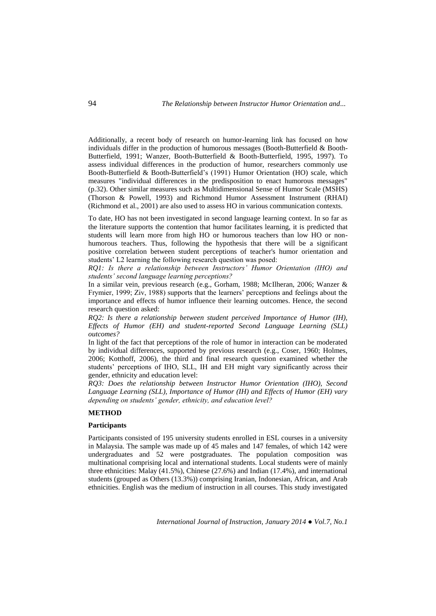Additionally, a recent body of research on humor-learning link has focused on how individuals differ in the production of humorous messages (Booth-Butterfield & Booth-Butterfield, 1991; Wanzer, Booth-Butterfield & Booth-Butterfield, 1995, 1997). To assess individual differences in the production of humor, researchers commonly use Booth-Butterfield & Booth-Butterfield's (1991) Humor Orientation (HO) scale, which measures "individual differences in the predisposition to enact humorous messages" (p.32). Other similar measures such as Multidimensional Sense of Humor Scale (MSHS) (Thorson & Powell, 1993) and Richmond Humor Assessment Instrument (RHAI) (Richmond et al., 2001) are also used to assess HO in various communication contexts.

To date, HO has not been investigated in second language learning context. In so far as the literature supports the contention that humor facilitates learning, it is predicted that students will learn more from high HO or humorous teachers than low HO or nonhumorous teachers. Thus, following the hypothesis that there will be a significant positive correlation between student perceptions of teacher's humor orientation and students' L2 learning the following research question was posed:

*RQ1: Is there a relationship between Instructors' Humor Orientation (IHO) and students' second language learning perceptions?*

In a similar vein, previous research (e.g., Gorham, 1988; McIlheran, 2006; Wanzer & Frymier, 1999; Ziv, 1988) supports that the learners' perceptions and feelings about the importance and effects of humor influence their learning outcomes. Hence, the second research question asked:

*RQ2: Is there a relationship between student perceived Importance of Humor (IH), Effects of Humor (EH) and student-reported Second Language Learning (SLL) outcomes?* 

In light of the fact that perceptions of the role of humor in interaction can be moderated by individual differences, supported by previous research (e.g., Coser, 1960; Holmes, 2006; Kotthoff, 2006), the third and final research question examined whether the students' perceptions of IHO, SLL, IH and EH might vary significantly across their gender, ethnicity and education level:

*RQ3: Does the relationship between Instructor Humor Orientation (IHO), Second Language Learning (SLL), Importance of Humor (IH) and Effects of Humor (EH) vary depending on students' gender, ethnicity, and education level?*

## **METHOD**

## **Participants**

Participants consisted of 195 university students enrolled in ESL courses in a university in Malaysia. The sample was made up of 45 males and 147 females, of which 142 were undergraduates and 52 were postgraduates. The population composition was multinational comprising local and international students. Local students were of mainly three ethnicities: Malay (41.5%), Chinese (27.6%) and Indian (17.4%), and international students (grouped as Others (13.3%)) comprising Iranian, Indonesian, African, and Arab ethnicities. English was the medium of instruction in all courses. This study investigated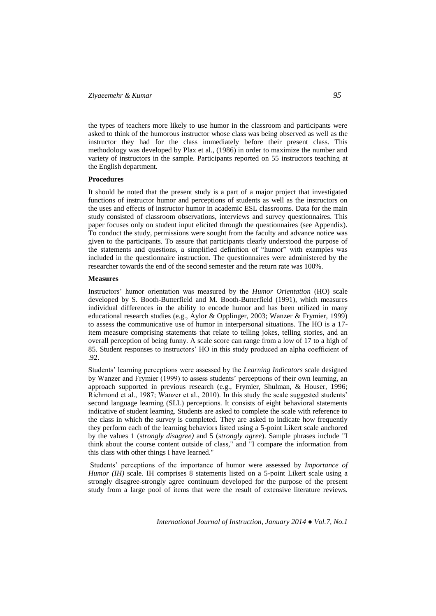# *Ziyaeemehr & Kumar 95*

the types of teachers more likely to use humor in the classroom and participants were asked to think of the humorous instructor whose class was being observed as well as the instructor they had for the class immediately before their present class. This methodology was developed by Plax et al., (1986) in order to maximize the number and variety of instructors in the sample. Participants reported on 55 instructors teaching at the English department.

### **Procedures**

It should be noted that the present study is a part of a major project that investigated functions of instructor humor and perceptions of students as well as the instructors on the uses and effects of instructor humor in academic ESL classrooms. Data for the main study consisted of classroom observations, interviews and survey questionnaires. This paper focuses only on student input elicited through the questionnaires (see Appendix). To conduct the study, permissions were sought from the faculty and advance notice was given to the participants. To assure that participants clearly understood the purpose of the statements and questions, a simplified definition of "humor" with examples was included in the questionnaire instruction. The questionnaires were administered by the researcher towards the end of the second semester and the return rate was 100%.

### **Measures**

Instructors' humor orientation was measured by the *Humor Orientation* (HO) scale developed by S. Booth-Butterfield and M. Booth-Butterfield (1991), which measures individual differences in the ability to encode humor and has been utilized in many educational research studies (e.g., Aylor & Opplinger, 2003; Wanzer & Frymier, 1999) to assess the communicative use of humor in interpersonal situations. The HO is a 17 item measure comprising statements that relate to telling jokes, telling stories, and an overall perception of being funny. A scale score can range from a low of 17 to a high of 85. Student responses to instructors' HO in this study produced an alpha coefficient of .92.

Students' learning perceptions were assessed by the *Learning Indicators* scale designed by Wanzer and Frymier (1999) to assess students' perceptions of their own learning, an approach supported in previous research (e.g., Frymier, Shulman, & Houser, 1996; Richmond et al., 1987; Wanzer et al., 2010). In this study the scale suggested students' second language learning (SLL) perceptions. It consists of eight behavioral statements indicative of student learning. Students are asked to complete the scale with reference to the class in which the survey is completed. They are asked to indicate how frequently they perform each of the learning behaviors listed using a 5-point Likert scale anchored by the values 1 (s*trongly disagree)* and 5 (s*trongly agree*). Sample phrases include "I think about the course content outside of class," and "I compare the information from this class with other things I have learned."

Students' perceptions of the importance of humor were assessed by *Importance of Humor (IH)* scale. IH comprises 8 statements listed on a 5-point Likert scale using a strongly disagree-strongly agree continuum developed for the purpose of the present study from a large pool of items that were the result of extensive literature reviews.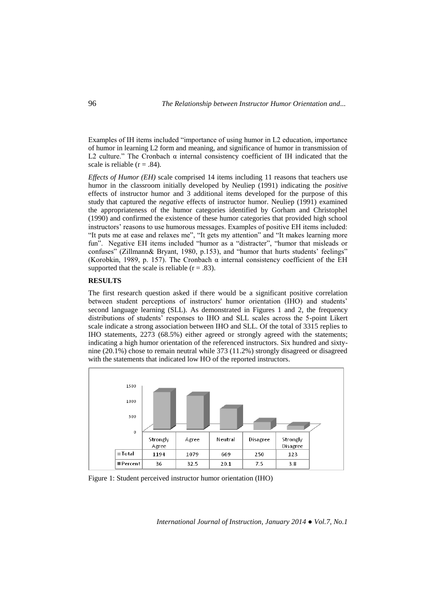Examples of IH items included "importance of using humor in L2 education, importance of humor in learning L2 form and meaning, and significance of humor in transmission of L2 culture." The Cronbach α internal consistency coefficient of IH indicated that the scale is reliable ( $r = .84$ ).

*Effects of Humor (EH)* scale comprised 14 items including 11 reasons that teachers use humor in the classroom initially developed by Neuliep (1991) indicating the *positive* effects of instructor humor and 3 additional items developed for the purpose of this study that captured the *negative* effects of instructor humor. Neuliep (1991) examined the appropriateness of the humor categories identified by Gorham and Christophel (1990) and confirmed the existence of these humor categories that provided high school instructors' reasons to use humorous messages. Examples of positive EH items included: "It puts me at ease and relaxes me", "It gets my attention" and "It makes learning more fun". Negative EH items included "humor as a "distracter", "humor that misleads or confuses" (Zillmann& Bryant, 1980, p.153), and "humor that hurts students' feelings" (Korobkin, 1989, p. 157). The Cronbach  $\alpha$  internal consistency coefficient of the EH supported that the scale is reliable  $(r = .83)$ .

## **RESULTS**

The first research question asked if there would be a significant positive correlation between student perceptions of instructors' humor orientation (IHO) and students' second language learning (SLL). As demonstrated in Figures 1 and 2, the frequency distributions of students' responses to IHO and SLL scales across the 5-point Likert scale indicate a strong association between IHO and SLL. Of the total of 3315 replies to IHO statements, 2273 (68.5%) either agreed or strongly agreed with the statements; indicating a high humor orientation of the referenced instructors. Six hundred and sixtynine (20.1%) chose to remain neutral while 373 (11.2%) strongly disagreed or disagreed with the statements that indicated low HO of the reported instructors.



Figure 1: Student perceived instructor humor orientation (IHO)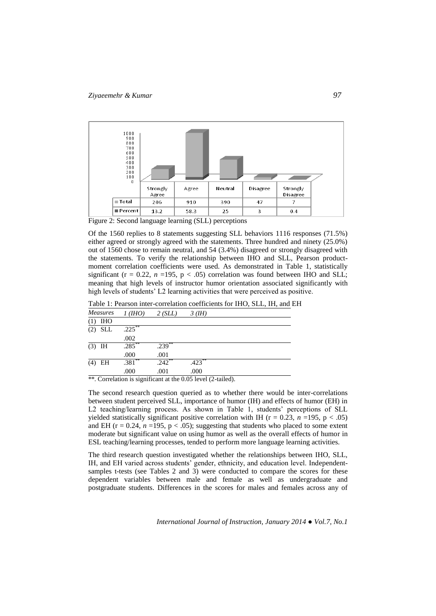

Figure 2: Second language learning (SLL) perceptions

Of the 1560 replies to 8 statements suggesting SLL behaviors 1116 responses (71.5%) either agreed or strongly agreed with the statements. Three hundred and ninety (25.0%) out of 1560 chose to remain neutral, and 54 (3.4%) disagreed or strongly disagreed with the statements. To verify the relationship between IHO and SLL, Pearson productmoment correlation coefficients were used. As demonstrated in Table 1, statistically significant ( $r = 0.22$ ,  $n = 195$ ,  $p < .05$ ) correlation was found between IHO and SLL; meaning that high levels of instructor humor orientation associated significantly with high levels of students' L2 learning activities that were perceived as positive.

Table 1: Pearson inter-correlation coefficients for IHO, SLL, IH, and EH

| <b>Measures</b> | 1(HHO)    | 2(SLL)    | $3$ (IH)  |  |
|-----------------|-----------|-----------|-----------|--|
| IHO             |           |           |           |  |
| $(2)$ SLL       | $.225***$ |           |           |  |
|                 | .002      |           |           |  |
| $(3)$ IH        | $.285***$ | $.239***$ |           |  |
|                 | .000      | .001      |           |  |
| $(4)$ EH        | $.381**$  | $.242***$ | $.423***$ |  |
|                 | .000      | .001      | .000      |  |

\*\*. Correlation is significant at the 0.05 level (2-tailed).

The second research question queried as to whether there would be inter-correlations between student perceived SLL, importance of humor (IH) and effects of humor (EH) in L2 teaching/learning process. As shown in Table 1, students' perceptions of SLL yielded statistically significant positive correlation with IH ( $r = 0.23$ ,  $n = 195$ ,  $p < .05$ ) and EH ( $r = 0.24$ ,  $n = 195$ ,  $p < .05$ ); suggesting that students who placed to some extent moderate but significant value on using humor as well as the overall effects of humor in ESL teaching/learning processes, tended to perform more language learning activities.

The third research question investigated whether the relationships between IHO, SLL, IH, and EH varied across students' gender, ethnicity, and education level. Independentsamples t-tests (see Tables 2 and 3) were conducted to compare the scores for these dependent variables between male and female as well as undergraduate and postgraduate students. Differences in the scores for males and females across any of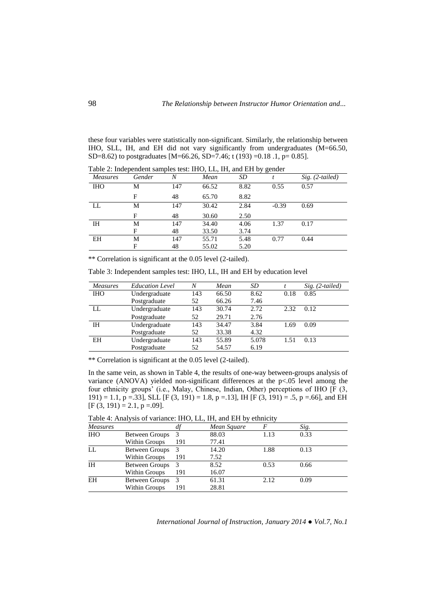these four variables were statistically non-significant. Similarly, the relationship between IHO, SLL, IH, and EH did not vary significantly from undergraduates (M=66.50, SD=8.62) to postgraduates [M=66.26, SD=7.46; t (193) =0.18 .1, p= 0.85].

| <b>Measures</b> | Gender | N   | $110, 22, 11,$ and $2110$ generic<br>Mean | <i>SD</i> |         | $Sig. (2-tailed)$ |
|-----------------|--------|-----|-------------------------------------------|-----------|---------|-------------------|
| <b>IHO</b>      | М      | 147 | 66.52                                     | 8.82      | 0.55    | 0.57              |
|                 | F      | 48  | 65.70                                     | 8.82      |         |                   |
| LL              | М      | 147 | 30.42                                     | 2.84      | $-0.39$ | 0.69              |
|                 | F      | 48  | 30.60                                     | 2.50      |         |                   |
| IΗ              | М      | 147 | 34.40                                     | 4.06      | 1.37    | 0.17              |
|                 | F      | 48  | 33.50                                     | 3.74      |         |                   |
| EH              | Μ      | 147 | 55.71                                     | 5.48      | 0.77    | 0.44              |
|                 | F      | 48  | 55.02                                     | 5.20      |         |                   |

Table 2: Independent samples test: IHO, LL, IH, and EH by gender

\*\* Correlation is significant at the 0.05 level (2-tailed).

Table 3: Independent samples test: IHO, LL, IH and EH by education level

| Measures   | <b>Education Level</b> | N   | Mean  | SD    |      | $Sig. (2-tailed)$ |
|------------|------------------------|-----|-------|-------|------|-------------------|
| <b>IHO</b> | Undergraduate          | 143 | 66.50 | 8.62  | 0.18 | 0.85              |
|            | Postgraduate           | 52  | 66.26 | 7.46  |      |                   |
| LL         | Undergraduate          | 143 | 30.74 | 2.72  | 2.32 | 0.12              |
|            | Postgraduate           | 52  | 29.71 | 2.76  |      |                   |
| IН         | Undergraduate          | 143 | 34.47 | 3.84  | 1.69 | 0.09              |
|            | Postgraduate           | 52  | 33.38 | 4.32  |      |                   |
| EН         | Undergraduate          | 143 | 55.89 | 5.078 | 1.51 | 0.13              |
|            | Postgraduate           | 52  | 54.57 | 6.19  |      |                   |

\*\* Correlation is significant at the 0.05 level (2-tailed).

In the same vein, as shown in Table 4, the results of one-way between-groups analysis of variance (ANOVA) yielded non-significant differences at the p<.05 level among the four ethnicity groups' (i.e., Malay, Chinese, Indian, Other) perceptions of IHO [F (3, 191) = 1.1, p = 33], SLL [F (3, 191) = 1.8, p = 13], IH [F (3, 191) = .5, p = 66], and EH  $[F (3, 191) = 2.1, p = .09].$ 

|                       |               | Mean Square |      | Sig. |  |
|-----------------------|---------------|-------------|------|------|--|
| <b>Between Groups</b> | 3             | 88.03       | 1.13 | 0.33 |  |
| Within Groups         | 191           | 77.41       |      |      |  |
| Between Groups        | 3             | 14.20       | 1.88 | 0.13 |  |
| Within Groups         | 191           | 7.52        |      |      |  |
| Between Groups        |               | 8.52        | 0.53 | 0.66 |  |
| Within Groups         | 191           | 16.07       |      |      |  |
| <b>Between Groups</b> | $\mathcal{R}$ | 61.31       | 2.12 | 0.09 |  |
| Within Groups         | 191           | 28.81       |      |      |  |
|                       |               |             |      |      |  |

Table 4: Analysis of variance: IHO, LL, IH, and EH by ethnicity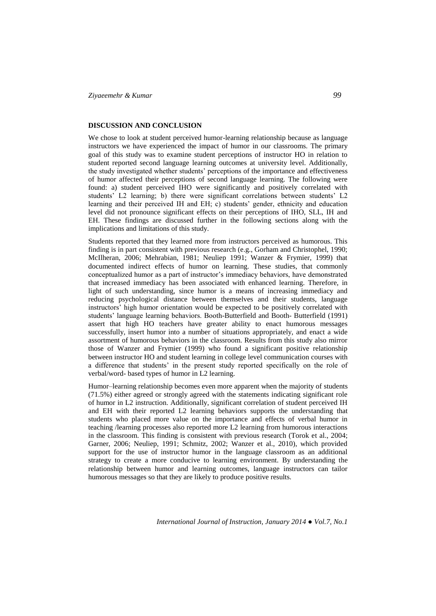## **DISCUSSION AND CONCLUSION**

We chose to look at student perceived humor-learning relationship because as language instructors we have experienced the impact of humor in our classrooms. The primary goal of this study was to examine student perceptions of instructor HO in relation to student reported second language learning outcomes at university level. Additionally, the study investigated whether students' perceptions of the importance and effectiveness of humor affected their perceptions of second language learning. The following were found: a) student perceived IHO were significantly and positively correlated with students' L2 learning; b) there were significant correlations between students' L2 learning and their perceived IH and EH; c) students' gender, ethnicity and education level did not pronounce significant effects on their perceptions of IHO, SLL, IH and EH. These findings are discussed further in the following sections along with the implications and limitations of this study.

Students reported that they learned more from instructors perceived as humorous. This finding is in part consistent with previous research (e.g., Gorham and Christophel, 1990; McIlheran, 2006; Mehrabian, 1981; Neuliep 1991; Wanzer & Frymier, 1999) that documented indirect effects of humor on learning. These studies, that commonly conceptualized humor as a part of instructor's immediacy behaviors, have demonstrated that increased immediacy has been associated with enhanced learning. Therefore, in light of such understanding, since humor is a means of increasing immediacy and reducing psychological distance between themselves and their students, language instructors' high humor orientation would be expected to be positively correlated with students' language learning behaviors. Booth-Butterfield and Booth- Butterfield (1991) assert that high HO teachers have greater ability to enact humorous messages successfully, insert humor into a number of situations appropriately, and enact a wide assortment of humorous behaviors in the classroom. Results from this study also mirror those of Wanzer and Frymier (1999) who found a significant positive relationship between instructor HO and student learning in college level communication courses with a difference that students' in the present study reported specifically on the role of verbal/word- based types of humor in L2 learning.

Humor–learning relationship becomes even more apparent when the majority of students (71.5%) either agreed or strongly agreed with the statements indicating significant role of humor in L2 instruction. Additionally, significant correlation of student perceived IH and EH with their reported L2 learning behaviors supports the understanding that students who placed more value on the importance and effects of verbal humor in teaching /learning processes also reported more L2 learning from humorous interactions in the classroom. This finding is consistent with previous research (Torok et al., 2004; Garner, 2006; Neuliep, 1991; Schmitz, 2002; Wanzer et al., 2010), which provided support for the use of instructor humor in the language classroom as an additional strategy to create a more conducive to learning environment. By understanding the relationship between humor and learning outcomes, language instructors can tailor humorous messages so that they are likely to produce positive results.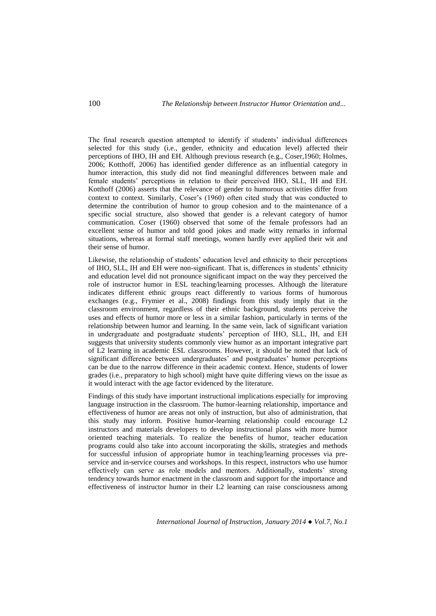The final research question attempted to identify if students' individual differences selected for this study (i.e., gender, ethnicity and education level) affected their perceptions of IHO, IH and EH. Although previous research (e.g., Coser,1960; Holmes, 2006; Kotthoff, 2006) has identified gender difference as an influential category in humor interaction, this study did not find meaningful differences between male and female students' perceptions in relation to their perceived IHO, SLL, IH and EH. Kotthoff (2006) asserts that the relevance of gender to humorous activities differ from context to context. Similarly, Coser's (1960) often cited study that was conducted to determine the contribution of humor to group cohesion and to the maintenance of a specific social structure, also showed that gender is a relevant category of humor communication. Coser (1960) observed that some of the female professors had an excellent sense of humor and told good jokes and made witty remarks in informal situations, whereas at formal staff meetings, women hardly ever applied their wit and their sense of humor.

Likewise, the relationship of students' education level and ethnicity to their perceptions of IHO, SLL, IH and EH were non-significant. That is, differences in students' ethnicity and education level did not pronounce significant impact on the way they perceived the role of instructor humor in ESL teaching/learning processes. Although the literature indicates different ethnic groups react differently to various forms of humorous exchanges (e.g., Frymier et al., 2008) findings from this study imply that in the classroom environment, regardless of their ethnic background, students perceive the uses and effects of humor more or less in a similar fashion, particularly in terms of the relationship between humor and learning. In the same vein, lack of significant variation in undergraduate and postgraduate students' perception of IHO, SLL, IH, and EH suggests that university students commonly view humor as an important integrative part of L2 learning in academic ESL classrooms. However, it should be noted that lack of significant difference between undergraduates' and postgraduates' humor perceptions can be due to the narrow difference in their academic context. Hence, students of lower grades (i.e., preparatory to high school) might have quite differing views on the issue as it would interact with the age factor evidenced by the literature.

Findings of this study have important instructional implications especially for improving language instruction in the classroom. The humor-learning relationship, importance and effectiveness of humor are areas not only of instruction, but also of administration, that this study may inform. Positive humor-learning relationship could encourage L2 instructors and materials developers to develop instructional plans with more humor oriented teaching materials. To realize the benefits of humor, teacher education programs could also take into account incorporating the skills, strategies and methods for successful infusion of appropriate humor in teaching/learning processes via preservice and in-service courses and workshops. In this respect, instructors who use humor effectively can serve as role models and mentors. Additionally, students' strong tendency towards humor enactment in the classroom and support for the importance and effectiveness of instructor humor in their L2 learning can raise consciousness among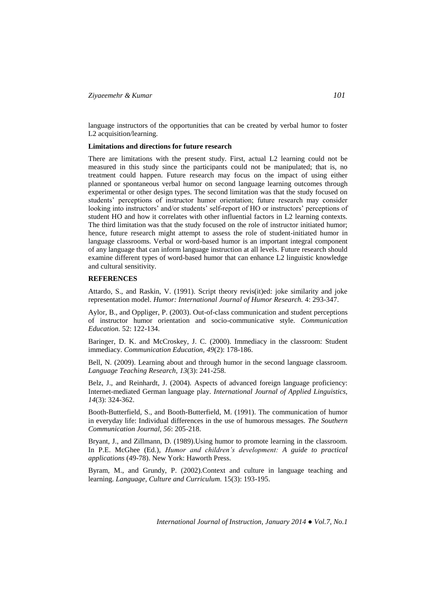language instructors of the opportunities that can be created by verbal humor to foster L2 acquisition/learning.

### **Limitations and directions for future research**

There are limitations with the present study. First, actual L2 learning could not be measured in this study since the participants could not be manipulated; that is, no treatment could happen. Future research may focus on the impact of using either planned or spontaneous verbal humor on second language learning outcomes through experimental or other design types. The second limitation was that the study focused on students' perceptions of instructor humor orientation; future research may consider looking into instructors' and/or students' self-report of HO or instructors' perceptions of student HO and how it correlates with other influential factors in L2 learning contexts. The third limitation was that the study focused on the role of instructor initiated humor; hence, future research might attempt to assess the role of student-initiated humor in language classrooms. Verbal or word-based humor is an important integral component of any language that can inform language instruction at all levels. Future research should examine different types of word-based humor that can enhance L2 linguistic knowledge and cultural sensitivity.

## **REFERENCES**

Attardo, S., and Raskin, V. (1991). Script theory revis(it)ed: joke similarity and joke representation model. *Humor: International Journal of Humor Research.* 4: 293-347.

Aylor, B., and Oppliger, P. (2003). Out-of-class communication and student perceptions of instructor humor orientation and socio-communicative style. *Communication Education.* 52: 122-134.

Baringer, D. K. and McCroskey, J. C. (2000). Immediacy in the classroom: Student immediacy. *Communication Education, 49*(2): 178-186.

Bell, N. (2009). Learning about and through humor in the second language classroom. *Language Teaching Research, 13*(3): 241-258.

Belz, J., and Reinhardt, J. (2004). Aspects of advanced foreign language proficiency: Internet-mediated German language play. *International Journal of Applied Linguistics, 14*(3): 324-362.

Booth-Butterfield, S., and Booth-Butterfield, M. (1991). The communication of humor in everyday life: Individual differences in the use of humorous messages. *The Southern Communication Journal, 56*: 205-218.

Bryant, J., and Zillmann, D. (1989).Using humor to promote learning in the classroom. In P.E. McGhee (Ed.), *Humor and children's development: A guide to practical applications* (49-78). New York: Haworth Press.

Byram, M., and Grundy, P. (2002).Context and culture in language teaching and learning. *Language, Culture and Curriculum.* 15(3): 193-195.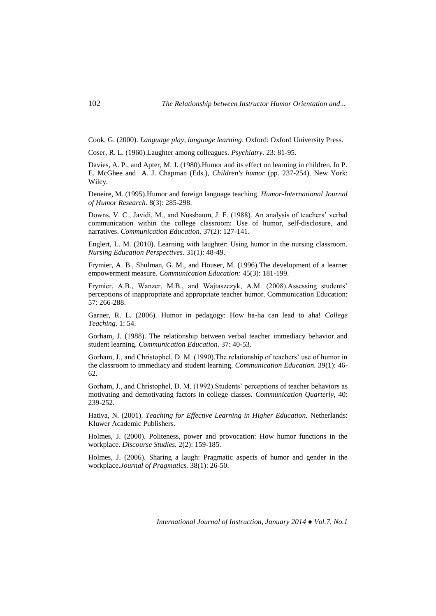Cook, G. (2000). *Language play, language learning*. Oxford: Oxford University Press.

Coser, R. L. (1960).Laughter among colleagues. *Psychiatry.* 23: 81-95.

Davies, A. P., and Apter, M. J. (1980).Humor and its effect on learning in children. In P. E. McGhee and A. J. Chapman (Eds.), *Children's humor* (pp. 237-254). New York: Wiley.

Deneire, M. (1995).Humor and foreign language teaching. *Humor-International Journal of Humor Research.* 8(3): 285-298.

Downs, V. C., Javidi, M., and Nussbaum, J. F. (1988). An analysis of teachers' verbal communication within the college classroom: Use of humor, self-disclosure, and narratives. *Communication Education.* 37(2): 127-141.

Englert, L. M. (2010). Learning with laughter: Using humor in the nursing classroom. *Nursing Education Perspectives.* 31(1): 48-49.

Frymier, A. B., Shulman, G. M., and Houser, M. (1996).The development of a learner empowerment measure. *Communication Education:* 45(3): 181-199.

Frymier, A.B., Wanzer, M.B., and Wajtaszczyk, A.M. (2008).Assessing students' perceptions of inappropriate and appropriate teacher humor. Communication Education: 57: 266-288.

Garner, R. L. (2006). Humor in pedagogy: How ha-ha can lead to aha! *College Teaching.* 1: 54.

Gorham, J. (1988). The relationship between verbal teacher immediacy behavior and student learning. *Communication Education.* 37: 40-53.

Gorham, J., and Christophel, D. M. (1990).The relationship of teachers' use of humor in the classroom to immediacy and student learning. *Communication Education.* 39(1): 46- 62.

Gorham, J., and Christophel, D. M. (1992).Students' perceptions of teacher behaviors as motivating and demotivating factors in college classes. *Communication Quarterly,* 40: 239-252.

Hativa, N. (2001). *Teaching for Effective Learning in Higher Education.* Netherlands: Kluwer Academic Publishers.

Holmes, J. (2000). Politeness, power and provocation: How humor functions in the workplace. *Discourse Studies.* 2(2): 159-185.

Holmes, J. (2006). Sharing a laugh: Pragmatic aspects of humor and gender in the workplace.*Journal of Pragmatics.* 38(1): 26-50.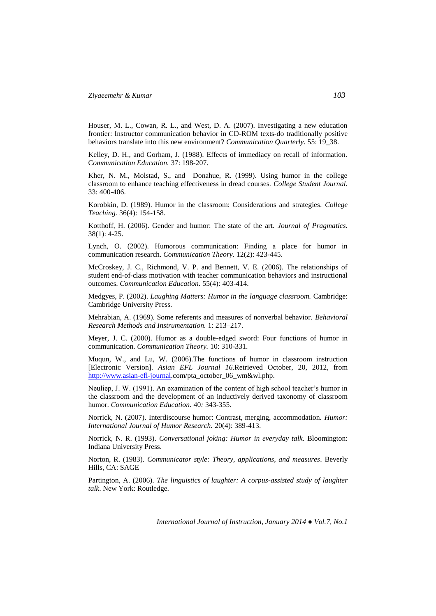Houser, M. L., Cowan, R. L., and West, D. A. (2007). Investigating a new education frontier: Instructor communication behavior in CD-ROM texts-do traditionally positive behaviors translate into this new environment? *Communication Quarterly*. 55: 19\_38.

Kelley, D. H., and Gorham, J. (1988). Effects of immediacy on recall of information. C*ommunication Education.* 37: 198-207.

Kher, N. M., Molstad, S., and Donahue, R. (1999). Using humor in the college classroom to enhance teaching effectiveness in dread courses. *College Student Journal.*  33: 400-406.

Korobkin, D. (1989). Humor in the classroom: Considerations and strategies. *College Teaching.* 36(4): 154-158.

Kotthoff, H. (2006). Gender and humor: The state of the art. *Journal of Pragmatics.*  38(1): 4-25.

Lynch, O. (2002). Humorous communication: Finding a place for humor in communication research. *Communication Theory.* 12(2): 423-445.

McCroskey, J. C., Richmond, V. P. and Bennett, V. E. (2006). The relationships of student end-of-class motivation with teacher communication behaviors and instructional outcomes. *Communication Education.* 55(4): 403-414.

Medgyes, P. (2002). *Laughing Matters: Humor in the language classroom.* Cambridge: Cambridge University Press.

Mehrabian, A. (1969). Some referents and measures of nonverbal behavior. *Behavioral Research Methods and Instrumentation.* 1: 213–217.

Meyer, J. C. (2000). Humor as a double-edged sword: Four functions of humor in communication. *Communication Theory.* 10: 310-331.

Muqun, W., and Lu, W. (2006).The functions of humor in classroom instruction [Electronic Version]. *Asian EFL Journal 16*.Retrieved October, 20, 2012, from [http://www.asian-efl-journal.c](http://www.asian-efl-journal/)om/pta\_october\_06\_wm&wl.php.

Neuliep, J. W. (1991). An examination of the content of high school teacher's humor in the classroom and the development of an inductively derived taxonomy of classroom humor. *Communication Education.* 40*:* 343-355.

Norrick, N. (2007). Interdiscourse humor: Contrast, merging, accommodation. *Humor: International Journal of Humor Research.* 20(4): 389-413.

Norrick, N. R. (1993). *Conversational joking: Humor in everyday talk*. Bloomington: Indiana University Press.

Norton, R. (1983). *Communicator style: Theory, applications, and measures*. Beverly Hills, CA: SAGE

Partington, A. (2006). *The linguistics of laughter: A corpus-assisted study of laughter talk*. New York: Routledge.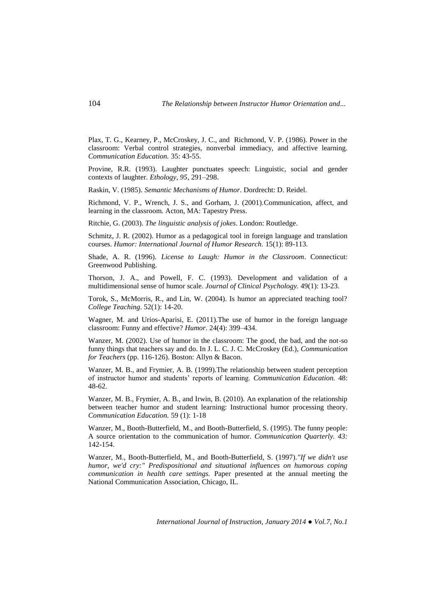Plax, T. G., Kearney, P., McCroskey, J. C., and Richmond, V. P. (1986). Power in the classroom: Verbal control strategies, nonverbal immediacy, and affective learning. *Communication Education.* 35: 43-55.

Provine, R.R. (1993). Laughter punctuates speech: Linguistic, social and gender contexts of laughter. *Ethology, 95*, 291–298.

Raskin, V. (1985). *Semantic Mechanisms of Humor*. Dordrecht: D. Reidel.

Richmond, V. P., Wrench, J. S., and Gorham, J. (2001).Communication, affect, and learning in the classroom*.* Acton, MA: Tapestry Press.

Ritchie, G. (2003). *The linguistic analysis of jokes*. London: Routledge.

Schmitz, J. R. (2002). Humor as a pedagogical tool in foreign language and translation courses. *Humor: International Journal of Humor Research.* 15(1): 89-113.

Shade, A. R. (1996). *License to Laugh: Humor in the Classroom*. Connecticut: Greenwood Publishing.

Thorson, J. A., and Powell, F. C. (1993). Development and validation of a multidimensional sense of humor scale. *Journal of Clinical Psychology.* 49(1): 13-23.

Torok, S., McMorris, R., and Lin, W. (2004). Is humor an appreciated teaching tool? *College Teaching*. 52(1): 14-20.

Wagner, M. and Urios-Aparisi, E. (2011).The use of humor in the foreign language classroom: Funny and effective? *Humor.* 24(4): 399–434.

Wanzer, M. (2002). Use of humor in the classroom: The good, the bad, and the not-so funny things that teachers say and do. In J. L. C. J. C. McCroskey (Ed.), *Communication for Teachers* (pp. 116-126). Boston: Allyn & Bacon.

Wanzer, M. B., and Frymier, A. B. (1999).The relationship between student perception of instructor humor and students' reports of learning. *Communication Education.* 48: 48-62.

Wanzer, M. B., Frymier, A. B., and Irwin, B. (2010). An explanation of the relationship between teacher humor and student learning: Instructional humor processing theory. *Communication Education.* 59 (1): 1-18

Wanzer, M., Booth-Butterfield, M., and Booth-Butterfield, S. (1995). The funny people: A source orientation to the communication of humor. *Communication Quarterly. 43:*  142-154.

Wanzer, M., Booth-Butterfield, M., and Booth-Butterfield, S. (1997).*"If we didn't use humor, we'd cry:" Predispositional and situational influences on humorous coping communication in health care settings.* Paper presented at the annual meeting the National Communication Association, Chicago, IL.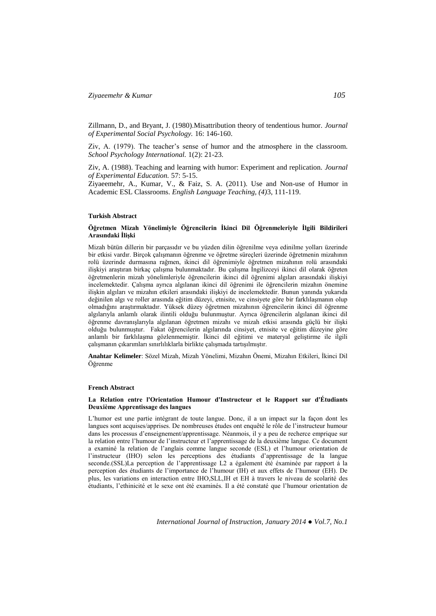Zillmann, D., and Bryant, J. (1980).Misattribution theory of tendentious humor. *Journal of Experimental Social Psychology.* 16: 146-160.

Ziv, A. (1979). The teacher's sense of humor and the atmosphere in the classroom. *School Psychology International.* 1(2): 21-23.

Ziv, A. (1988). Teaching and learning with humor: Experiment and replication. *Journal of Experimental Education.* 57: 5-15.

Ziyaeemehr, A., Kumar, V., & Faiz, S. A. (2011). Use and Non-use of Humor in Academic ESL Classrooms. *English Language Teaching, (4)*3, 111-119.

### **Turkish Abstract**

### **Öğretmen Mizah Yönelimiyle Öğrencilerin İkinci Dil Öğrenmeleriyle İlgili Bildirileri Arasındaki İlişki**

Mizah bütün dillerin bir parçasıdır ve bu yüzden dilin öğrenilme veya edinilme yolları üzerinde bir etkisi vardır. Birçok çalışmanın öğrenme ve öğretme süreçleri üzerinde öğretmenin mizahının rolü üzerinde durmasına rağmen, ikinci dil öğrenimiyle öğretmen mizahının rolü arasındaki ilişkiyi araştıran birkaç çalışma bulunmaktadır. Bu çalışma İngilizceyi ikinci dil olarak öğreten öğretmenlerin mizah yönelimleriyle öğrencilerin ikinci dil öğrenimi algıları arasındaki ilişkiyi incelemektedir. Çalışma ayrıca algılanan ikinci dil öğrenimi ile öğrencilerin mizahın önemine ilişkin algıları ve mizahın etkileri arasındaki ilişkiyi de incelemektedir. Bunun yanında yukarıda değinilen algı ve roller arasında eğitim düzeyi, etnisite, ve cinsiyete göre bir farklılaşmanın olup olmadığını araştırmaktadır. Yüksek düzey öğretmen mizahının öğrencilerin ikinci dil öğrenme algılarıyla anlamlı olarak ilintili olduğu bulunmuştur. Ayrıca öğrencilerin algılanan ikinci dil öğrenme davranışlarıyla algılanan öğretmen mizahı ve mizah etkisi arasında güçlü bir ilişki olduğu bulunmuştur. Fakat öğrencilerin algılarında cinsiyet, etnisite ve eğitim düzeyine göre anlamlı bir farklılaşma gözlenmemiştir. İkinci dil eğitimi ve materyal geliştirme ile ilgili çalışmanın çıkarımları sınırlılıklarla birlikte çalışmada tartışılmıştır.

**Anahtar Kelimeler**: Sözel Mizah, Mizah Yönelimi, Mizahın Önemi, Mizahın Etkileri, İkinci Dil Öğrenme

#### **French Abstract**

### **La Relation entre l'Orientation Humour d'Instructeur et le Rapport sur d'Étudiants Deuxième Apprentissage des langues**

L'humor est une partie intégrant de toute langue. Donc, il a un impact sur la façon dont les langues sont acquises/apprises. De nombreuses études ont enquêté le rôle de l'instructeur humour dans les processus d'enseignement/apprentissage. Néanmois, il y a peu de recherce emprique sur la relation entre l'humour de l'instructeur et l'apprentissage de la deuxième langue. Ce document a examiné la relation de l'anglais comme langue seconde (ESL) et l'humour orientation de l'instructeur (IHO) selon les perceptions des étudiants d'apprentissage de la langue seconde.(SSL)La perception de l'apprentissage L2 a également été éxaminée par rapport á la perception des étudiants de l'importance de l'humour (IH) et aux effets de l'humour (EH). De plus, les variations en interaction entre IHO,SLL,IH et EH à travers le niveau de scolarité des étudiants, l'ethinicité et le sexe ont été examinés. Il a été constaté que l'humour orientation de